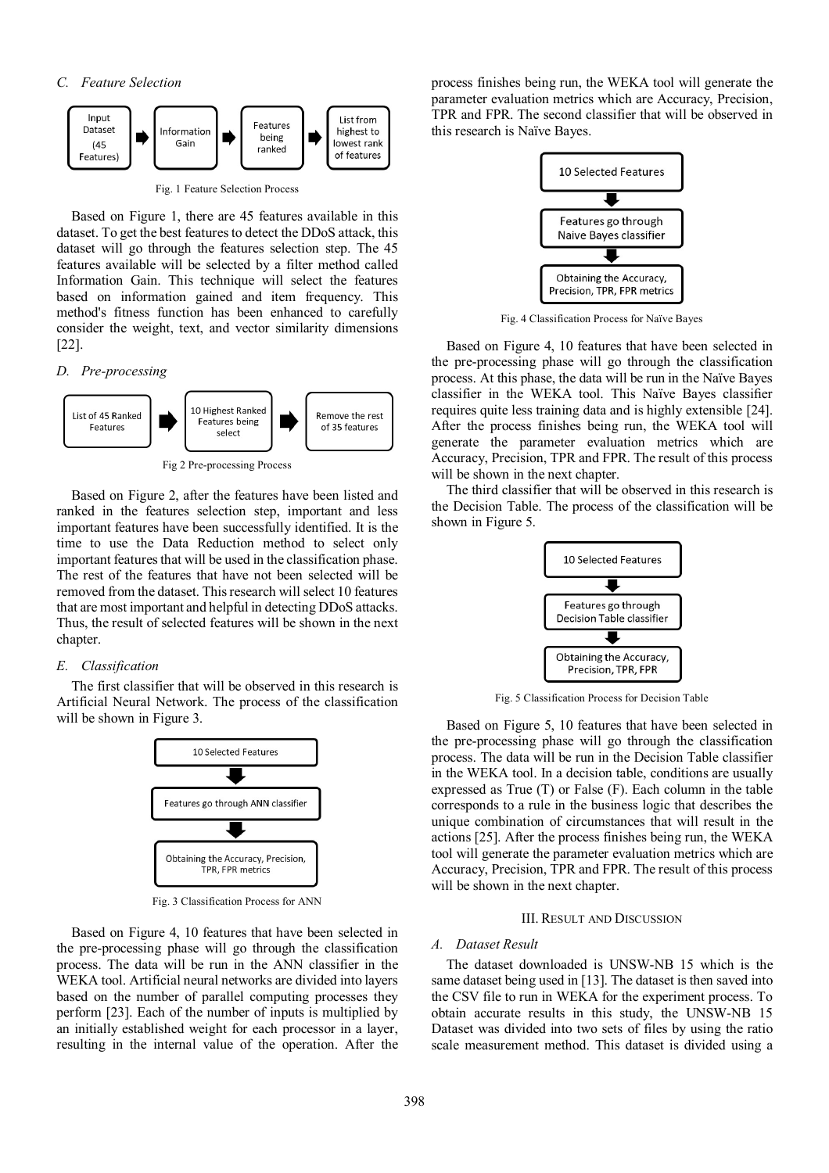

Fig. 1 Feature Selection Process

Based on Figure 1, there are 45 features available in this dataset. To get the best features to detect the DDoS attack, this dataset will go through the features selection step. The 45 features available will be selected by a filter method called Information Gain. This technique will select the features based on information gained and item frequency. This method's fitness function has been enhanced to carefully consider the weight, text, and vector similarity dimensions [22].

*D. Pre-processing* 



Fig 2 Pre-processing Process

Based on Figure 2, after the features have been listed and ranked in the features selection step, important and less important features have been successfully identified. It is the time to use the Data Reduction method to select only important features that will be used in the classification phase. The rest of the features that have not been selected will be removed from the dataset. This research will select 10 features that are most important and helpful in detecting DDoS attacks. Thus, the result of selected features will be shown in the next chapter.

## *E. Classification*

The first classifier that will be observed in this research is Artificial Neural Network. The process of the classification will be shown in Figure 3.



Fig. 3 Classification Process for ANN

Based on Figure 4, 10 features that have been selected in the pre-processing phase will go through the classification process. The data will be run in the ANN classifier in the WEKA tool. Artificial neural networks are divided into layers based on the number of parallel computing processes they perform [23]. Each of the number of inputs is multiplied by an initially established weight for each processor in a layer, resulting in the internal value of the operation. After the process finishes being run, the WEKA tool will generate the parameter evaluation metrics which are Accuracy, Precision, TPR and FPR. The second classifier that will be observed in this research is Naïve Bayes.



Fig. 4 Classification Process for Naïve Bayes

Based on Figure 4, 10 features that have been selected in the pre-processing phase will go through the classification process. At this phase, the data will be run in the Naïve Bayes classifier in the WEKA tool. This Naïve Bayes classifier requires quite less training data and is highly extensible [24]. After the process finishes being run, the WEKA tool will generate the parameter evaluation metrics which are Accuracy, Precision, TPR and FPR. The result of this process will be shown in the next chapter.

The third classifier that will be observed in this research is the Decision Table. The process of the classification will be shown in Figure 5.



Fig. 5 Classification Process for Decision Table

Based on Figure 5, 10 features that have been selected in the pre-processing phase will go through the classification process. The data will be run in the Decision Table classifier in the WEKA tool. In a decision table, conditions are usually expressed as True (T) or False (F). Each column in the table corresponds to a rule in the business logic that describes the unique combination of circumstances that will result in the actions [25]. After the process finishes being run, the WEKA tool will generate the parameter evaluation metrics which are Accuracy, Precision, TPR and FPR. The result of this process will be shown in the next chapter.

#### III. RESULT AND DISCUSSION

# *A. Dataset Result*

The dataset downloaded is UNSW-NB 15 which is the same dataset being used in [13]. The dataset is then saved into the CSV file to run in WEKA for the experiment process. To obtain accurate results in this study, the UNSW-NB 15 Dataset was divided into two sets of files by using the ratio scale measurement method. This dataset is divided using a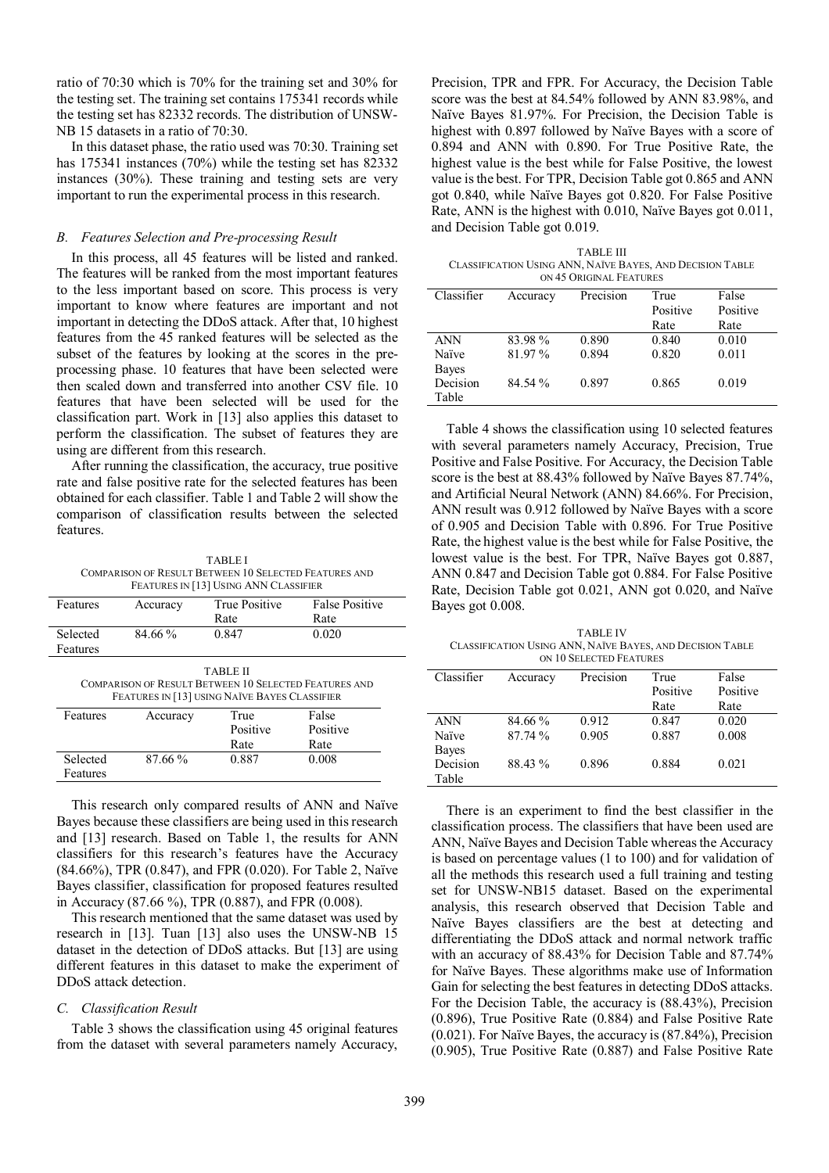ratio of 70:30 which is 70% for the training set and 30% for the testing set. The training set contains 175341 records while the testing set has 82332 records. The distribution of UNSW-NB 15 datasets in a ratio of 70:30.

In this dataset phase, the ratio used was 70:30. Training set has 175341 instances (70%) while the testing set has 82332 instances (30%). These training and testing sets are very important to run the experimental process in this research.

## *B. Features Selection and Pre-processing Result*

In this process, all 45 features will be listed and ranked. The features will be ranked from the most important features to the less important based on score. This process is very important to know where features are important and not important in detecting the DDoS attack. After that, 10 highest features from the 45 ranked features will be selected as the subset of the features by looking at the scores in the preprocessing phase. 10 features that have been selected were then scaled down and transferred into another CSV file. 10 features that have been selected will be used for the classification part. Work in [13] also applies this dataset to perform the classification. The subset of features they are using are different from this research.

After running the classification, the accuracy, true positive rate and false positive rate for the selected features has been obtained for each classifier. Table 1 and Table 2 will show the comparison of classification results between the selected features.

TABLE I COMPARISON OF RESULT BETWEEN 10 SELECTED FEATURES AND FEATURES IN [13] USING ANN CLASSIFIER

| Features                                                                                                                         | Accuracy  | <b>True Positive</b> | <b>False Positive</b> |  |  |  |  |
|----------------------------------------------------------------------------------------------------------------------------------|-----------|----------------------|-----------------------|--|--|--|--|
|                                                                                                                                  |           | Rate                 | Rate                  |  |  |  |  |
| Selected                                                                                                                         | 84.66 %   | 0.847                | 0.020                 |  |  |  |  |
| Features                                                                                                                         |           |                      |                       |  |  |  |  |
| <b>TABLE II</b><br><b>COMPARISON OF RESULT BETWEEN 10 SELECTED FEATURES AND</b><br>FEATURES IN [13] USING NAÏVE BAYES CLASSIFIER |           |                      |                       |  |  |  |  |
| Features                                                                                                                         | Accuracy  | True                 | False                 |  |  |  |  |
|                                                                                                                                  |           | Positive             | Positive              |  |  |  |  |
|                                                                                                                                  |           | Rate                 | Rate                  |  |  |  |  |
| Selected                                                                                                                         | $87.66\%$ | 0.887                | 0.008                 |  |  |  |  |
| Features                                                                                                                         |           |                      |                       |  |  |  |  |

This research only compared results of ANN and Naïve Bayes because these classifiers are being used in this research and [13] research. Based on Table 1, the results for ANN classifiers for this research's features have the Accuracy (84.66%), TPR (0.847), and FPR (0.020). For Table 2, Naïve Bayes classifier, classification for proposed features resulted in Accuracy (87.66 %), TPR (0.887), and FPR (0.008).

This research mentioned that the same dataset was used by research in [13]. Tuan [13] also uses the UNSW-NB 15 dataset in the detection of DDoS attacks. But [13] are using different features in this dataset to make the experiment of DDoS attack detection.

#### *C. Classification Result*

Table 3 shows the classification using 45 original features from the dataset with several parameters namely Accuracy,

Precision, TPR and FPR. For Accuracy, the Decision Table score was the best at 84.54% followed by ANN 83.98%, and Naïve Bayes 81.97%. For Precision, the Decision Table is highest with 0.897 followed by Naïve Bayes with a score of 0.894 and ANN with 0.890. For True Positive Rate, the highest value is the best while for False Positive, the lowest value is the best. For TPR, Decision Table got 0.865 and ANN got 0.840, while Naïve Bayes got 0.820. For False Positive Rate, ANN is the highest with 0.010, Naïve Bayes got 0.011, and Decision Table got 0.019.

TABLE III CLASSIFICATION USING ANN, NAÏVE BAYES, AND DECISION TABLE ON 45 ORIGINAL FEATURES

| Classifier | Accuracy | Precision | True     | False    |  |  |
|------------|----------|-----------|----------|----------|--|--|
|            |          |           | Positive | Positive |  |  |
|            |          |           | Rate     | Rate     |  |  |
| <b>ANN</b> | 83.98%   | 0.890     | 0.840    | 0.010    |  |  |
| Naïve      | 81.97 %  | 0.894     | 0.820    | 0.011    |  |  |
| Bayes      |          |           |          |          |  |  |
| Decision   | 84.54 %  | 0.897     | 0.865    | 0.019    |  |  |
| Table      |          |           |          |          |  |  |

Table 4 shows the classification using 10 selected features with several parameters namely Accuracy, Precision, True Positive and False Positive. For Accuracy, the Decision Table score is the best at 88.43% followed by Naïve Bayes 87.74%, and Artificial Neural Network (ANN) 84.66%. For Precision, ANN result was 0.912 followed by Naïve Bayes with a score of 0.905 and Decision Table with 0.896. For True Positive Rate, the highest value is the best while for False Positive, the lowest value is the best. For TPR, Naïve Bayes got 0.887, ANN 0.847 and Decision Table got 0.884. For False Positive Rate, Decision Table got 0.021, ANN got 0.020, and Naïve Bayes got 0.008.

TABLE IV CLASSIFICATION USING ANN, NAÏVE BAYES, AND DECISION TABLE ON 10 SELECTED FEATURES

| Classifier | Accuracy | Precision | True     | False    |  |  |
|------------|----------|-----------|----------|----------|--|--|
|            |          |           | Positive | Positive |  |  |
|            |          |           | Rate     | Rate     |  |  |
| <b>ANN</b> | 84.66 %  | 0.912     | 0.847    | 0.020    |  |  |
| Naïve      | 87.74 %  | 0.905     | 0.887    | 0.008    |  |  |
| Bayes      |          |           |          |          |  |  |
| Decision   | 88.43 %  | 0.896     | 0.884    | 0.021    |  |  |
| Table      |          |           |          |          |  |  |

There is an experiment to find the best classifier in the classification process. The classifiers that have been used are ANN, Naïve Bayes and Decision Table whereas the Accuracy is based on percentage values (1 to 100) and for validation of all the methods this research used a full training and testing set for UNSW-NB15 dataset. Based on the experimental analysis, this research observed that Decision Table and Naïve Bayes classifiers are the best at detecting and differentiating the DDoS attack and normal network traffic with an accuracy of 88.43% for Decision Table and 87.74% for Naïve Bayes. These algorithms make use of Information Gain for selecting the best features in detecting DDoS attacks. For the Decision Table, the accuracy is (88.43%), Precision (0.896), True Positive Rate (0.884) and False Positive Rate (0.021). For Naïve Bayes, the accuracy is (87.84%), Precision (0.905), True Positive Rate (0.887) and False Positive Rate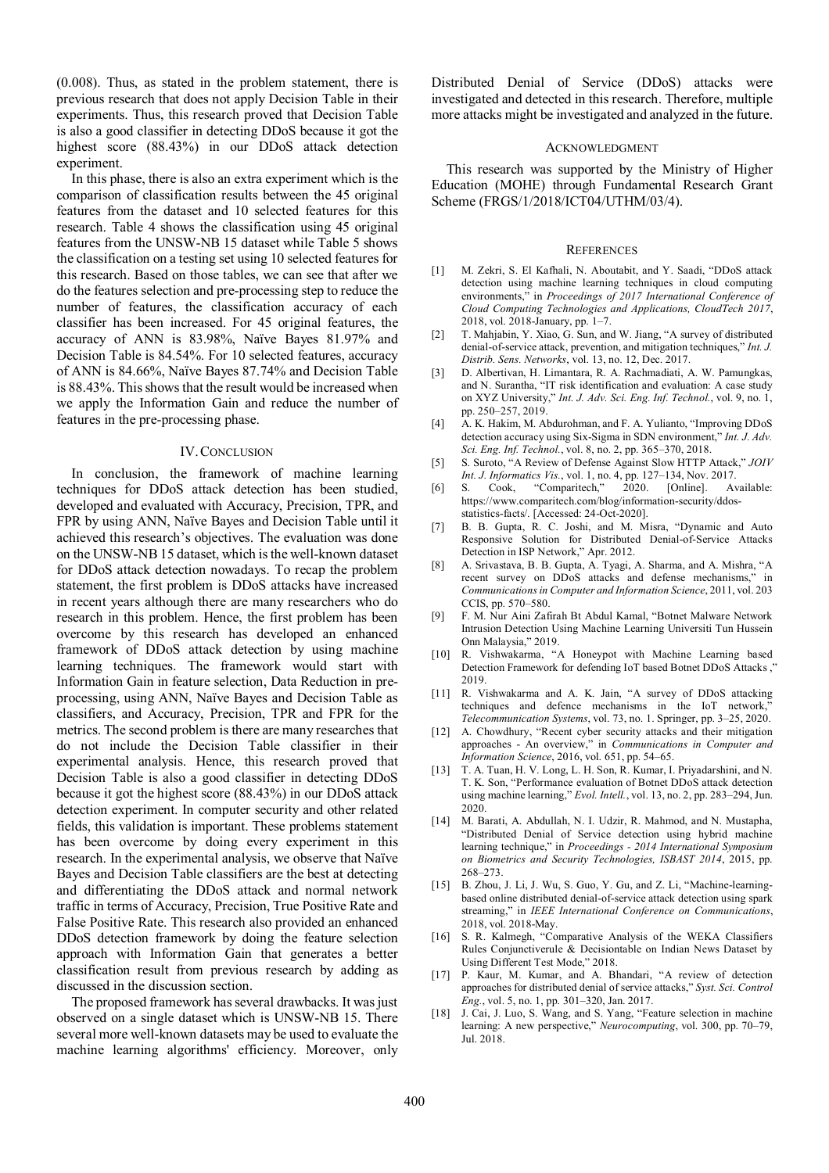(0.008). Thus, as stated in the problem statement, there is previous research that does not apply Decision Table in their experiments. Thus, this research proved that Decision Table is also a good classifier in detecting DDoS because it got the highest score (88.43%) in our DDoS attack detection experiment.

In this phase, there is also an extra experiment which is the comparison of classification results between the 45 original features from the dataset and 10 selected features for this research. Table 4 shows the classification using 45 original features from the UNSW-NB 15 dataset while Table 5 shows the classification on a testing set using 10 selected features for this research. Based on those tables, we can see that after we do the features selection and pre-processing step to reduce the number of features, the classification accuracy of each classifier has been increased. For 45 original features, the accuracy of ANN is 83.98%, Naïve Bayes 81.97% and Decision Table is 84.54%. For 10 selected features, accuracy of ANN is 84.66%, Naïve Bayes 87.74% and Decision Table is 88.43%. This shows that the result would be increased when we apply the Information Gain and reduce the number of features in the pre-processing phase.

## IV.CONCLUSION

In conclusion, the framework of machine learning techniques for DDoS attack detection has been studied, developed and evaluated with Accuracy, Precision, TPR, and FPR by using ANN, Naïve Bayes and Decision Table until it achieved this research's objectives. The evaluation was done on the UNSW-NB 15 dataset, which is the well-known dataset for DDoS attack detection nowadays. To recap the problem statement, the first problem is DDoS attacks have increased in recent years although there are many researchers who do research in this problem. Hence, the first problem has been overcome by this research has developed an enhanced framework of DDoS attack detection by using machine learning techniques. The framework would start with Information Gain in feature selection, Data Reduction in preprocessing, using ANN, Naïve Bayes and Decision Table as classifiers, and Accuracy, Precision, TPR and FPR for the metrics. The second problem is there are many researches that do not include the Decision Table classifier in their experimental analysis. Hence, this research proved that Decision Table is also a good classifier in detecting DDoS because it got the highest score (88.43%) in our DDoS attack detection experiment. In computer security and other related fields, this validation is important. These problems statement has been overcome by doing every experiment in this research. In the experimental analysis, we observe that Naïve Bayes and Decision Table classifiers are the best at detecting and differentiating the DDoS attack and normal network traffic in terms of Accuracy, Precision, True Positive Rate and False Positive Rate. This research also provided an enhanced DDoS detection framework by doing the feature selection approach with Information Gain that generates a better classification result from previous research by adding as discussed in the discussion section.

The proposed framework has several drawbacks. It was just observed on a single dataset which is UNSW-NB 15. There several more well-known datasets may be used to evaluate the machine learning algorithms' efficiency. Moreover, only Distributed Denial of Service (DDoS) attacks were investigated and detected in this research. Therefore, multiple more attacks might be investigated and analyzed in the future.

#### ACKNOWLEDGMENT

This research was supported by the Ministry of Higher Education (MOHE) through Fundamental Research Grant Scheme (FRGS/1/2018/ICT04/UTHM/03/4).

### **REFERENCES**

- [1] M. Zekri, S. El Kafhali, N. Aboutabit, and Y. Saadi, "DDoS attack detection using machine learning techniques in cloud computing environments," in *Proceedings of 2017 International Conference of Cloud Computing Technologies and Applications, CloudTech 2017*, 2018, vol. 2018-January, pp. 1–7.
- [2] T. Mahjabin, Y. Xiao, G. Sun, and W. Jiang, "A survey of distributed denial-of-service attack, prevention, and mitigation techniques," *Int. J. Distrib. Sens. Networks*, vol. 13, no. 12, Dec. 2017.
- [3] D. Albertivan, H. Limantara, R. A. Rachmadiati, A. W. Pamungkas, and N. Surantha, "IT risk identification and evaluation: A case study on XYZ University," *Int. J. Adv. Sci. Eng. Inf. Technol.*, vol. 9, no. 1, pp. 250–257, 2019.
- [4] A. K. Hakim, M. Abdurohman, and F. A. Yulianto, "Improving DDoS detection accuracy using Six-Sigma in SDN environment," *Int. J. Adv. Sci. Eng. Inf. Technol.*, vol. 8, no. 2, pp. 365–370, 2018.
- [5] S. Suroto, "A Review of Defense Against Slow HTTP Attack," *JOIV Int. J. Informatics Vis.*, vol. 1, no. 4, pp. 127–134, Nov. 2017.
- [6] S. Cook, "Comparitech," 2020. [Online]. Available: https://www.comparitech.com/blog/information-security/ddosstatistics-facts/. [Accessed: 24-Oct-2020].
- [7] B. B. Gupta, R. C. Joshi, and M. Misra, "Dynamic and Auto Responsive Solution for Distributed Denial-of-Service Attacks Detection in ISP Network," Apr. 2012.
- [8] A. Srivastava, B. B. Gupta, A. Tyagi, A. Sharma, and A. Mishra, "A recent survey on DDoS attacks and defense mechanisms," in *Communications in Computer and Information Science*, 2011, vol. 203 CCIS, pp. 570–580.
- [9] F. M. Nur Aini Zafirah Bt Abdul Kamal, "Botnet Malware Network Intrusion Detection Using Machine Learning Universiti Tun Hussein Onn Malaysia," 2019.
- [10] R. Vishwakarma, "A Honeypot with Machine Learning based Detection Framework for defending IoT based Botnet DDoS Attacks ," 2019.
- [11] R. Vishwakarma and A. K. Jain, "A survey of DDoS attacking techniques and defence mechanisms in the IoT network," *Telecommunication Systems*, vol. 73, no. 1. Springer, pp. 3–25, 2020.
- [12] A. Chowdhury, "Recent cyber security attacks and their mitigation approaches - An overview," in *Communications in Computer and Information Science*, 2016, vol. 651, pp. 54–65.
- [13] T. A. Tuan, H. V. Long, L. H. Son, R. Kumar, I. Priyadarshini, and N. T. K. Son, "Performance evaluation of Botnet DDoS attack detection using machine learning," *Evol. Intell.*, vol. 13, no. 2, pp. 283–294, Jun. 2020.
- [14] M. Barati, A. Abdullah, N. I. Udzir, R. Mahmod, and N. Mustapha, "Distributed Denial of Service detection using hybrid machine learning technique," in *Proceedings - 2014 International Symposium on Biometrics and Security Technologies, ISBAST 2014*, 2015, pp. 268–273.
- [15] B. Zhou, J. Li, J. Wu, S. Guo, Y. Gu, and Z. Li, "Machine-learningbased online distributed denial-of-service attack detection using spark streaming," in *IEEE International Conference on Communications*, 2018, vol. 2018-May.
- [16] S. R. Kalmegh, "Comparative Analysis of the WEKA Classifiers Rules Conjunctiverule & Decisiontable on Indian News Dataset by Using Different Test Mode," 2018.
- [17] P. Kaur, M. Kumar, and A. Bhandari, "A review of detection approaches for distributed denial of service attacks," *Syst. Sci. Control Eng.*, vol. 5, no. 1, pp. 301–320, Jan. 2017.
- [18] J. Cai, J. Luo, S. Wang, and S. Yang, "Feature selection in machine learning: A new perspective," *Neurocomputing*, vol. 300, pp. 70–79, Jul. 2018.